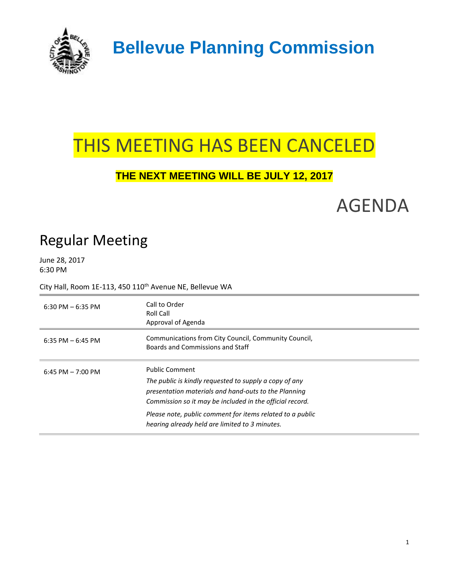

 **Bellevue Planning Commission**

## THIS MEETING HAS BEEN CANCELED

## **THE NEXT MEETING WILL BE JULY 12, 2017**

AGENDA

## Regular Meeting

June 28, 2017 6:30 PM

City Hall, Room 1E-113, 450 110<sup>th</sup> Avenue NE, Bellevue WA

| $6:30$ PM $-6:35$ PM | Call to Order<br>Roll Call<br>Approval of Agenda                                                                                                                                                                                                                                                                   |
|----------------------|--------------------------------------------------------------------------------------------------------------------------------------------------------------------------------------------------------------------------------------------------------------------------------------------------------------------|
| 6:35 PM $-$ 6:45 PM  | Communications from City Council, Community Council,<br>Boards and Commissions and Staff                                                                                                                                                                                                                           |
| $6:45$ PM $-7:00$ PM | <b>Public Comment</b><br>The public is kindly requested to supply a copy of any<br>presentation materials and hand-outs to the Planning<br>Commission so it may be included in the official record.<br>Please note, public comment for items related to a public<br>hearing already held are limited to 3 minutes. |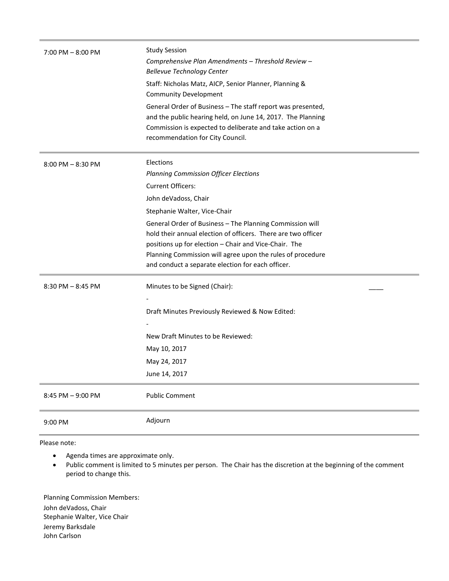| $7:00$ PM $-8:00$ PM | <b>Study Session</b><br>Comprehensive Plan Amendments - Threshold Review -<br><b>Bellevue Technology Center</b><br>Staff: Nicholas Matz, AICP, Senior Planner, Planning &<br><b>Community Development</b><br>General Order of Business - The staff report was presented,<br>and the public hearing held, on June 14, 2017. The Planning<br>Commission is expected to deliberate and take action on a<br>recommendation for City Council.               |
|----------------------|--------------------------------------------------------------------------------------------------------------------------------------------------------------------------------------------------------------------------------------------------------------------------------------------------------------------------------------------------------------------------------------------------------------------------------------------------------|
| $8:00$ PM $-8:30$ PM | Elections<br><b>Planning Commission Officer Elections</b><br><b>Current Officers:</b><br>John deVadoss, Chair<br>Stephanie Walter, Vice-Chair<br>General Order of Business - The Planning Commission will<br>hold their annual election of officers. There are two officer<br>positions up for election - Chair and Vice-Chair. The<br>Planning Commission will agree upon the rules of procedure<br>and conduct a separate election for each officer. |
| $8:30$ PM $-8:45$ PM | Minutes to be Signed (Chair):<br>Draft Minutes Previously Reviewed & Now Edited:<br>New Draft Minutes to be Reviewed:<br>May 10, 2017<br>May 24, 2017<br>June 14, 2017                                                                                                                                                                                                                                                                                 |
| 8:45 PM - 9:00 PM    | <b>Public Comment</b><br>Adjourn                                                                                                                                                                                                                                                                                                                                                                                                                       |
| 9:00 PM              |                                                                                                                                                                                                                                                                                                                                                                                                                                                        |

Please note:

- Agenda times are approximate only.
- Public comment is limited to 5 minutes per person. The Chair has the discretion at the beginning of the comment period to change this.

Planning Commission Members: John deVadoss, Chair Stephanie Walter, Vice Chair Jeremy Barksdale John Carlson